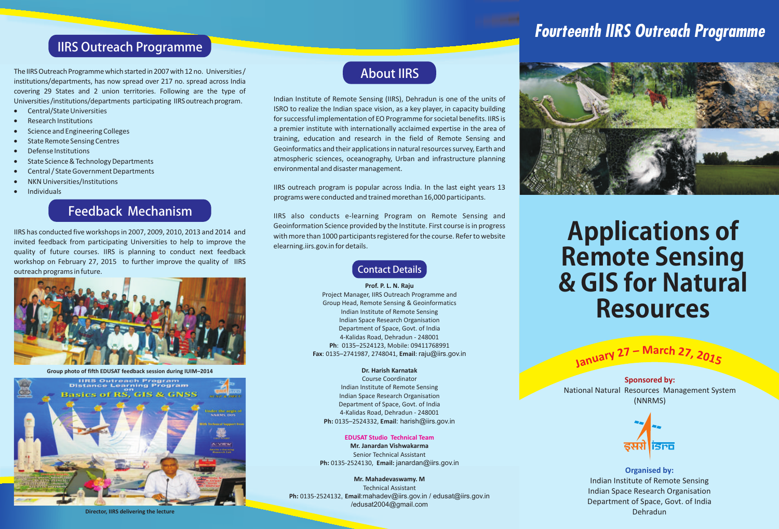## *Fourteenth IIRS Outreach Programme*

### IIRS Outreach Programme

The IIRS Outreach Programme which started in 2007 with 12 no. Universities / institutions/departments, has now spread over 217 no. spread across India covering 29 States and 2 union territories. Following are the type of Universities/institutions/departments participating IIRS outreach program.

- · Central/State Universities
- · Research Institutions
- · Science and Engineering Colleges
- State Remote Sensing Centres
- · Defense Institutions
- State Science & Technology Departments
- · Central / State Government Departments
- · NKN Universities/Institutions
- · Individuals

### Feedback Mechanism

IIRS has conducted five workshops in 2007, 2009, 2010, 2013 and 2014 and invited feedback from participating Universities to help to improve the quality of future courses. IIRS is planning to conduct next feedback workshop on February 27, 2015 to further improve the quality of IIRS outreach programs in future.



**Group photo of fifth EDUSAT feedback session during IUIM–2014**





Indian Institute of Remote Sensing (IIRS), Dehradun is one of the units of ISRO to realize the Indian space vision, as a key player, in capacity building for successful implementation of EO Programme for societal benefits. IIRS is a premier institute with internationally acclaimed expertise in the area of training, education and research in the field of Remote Sensing and Geoinformatics and their applications in natural resources survey, Earth and atmospheric sciences, oceanography, Urban and infrastructure planning environmental and disaster management.

IIRS outreach program is popular across India. In the last eight years 13 programs were conducted and trained morethan 16,000 participants.

IIRS also conducts e-learning Program on Remote Sensing and Geoinformation Science provided by the Institute. First course is in progress with more than 1000 participants registered for the course. Refer to website elearning.iirs.gov.in for details.

Contact Details

#### **Prof. P. L. N. Raju** Project Manager, IIRS Outreach Programme and Group Head, Remote Sensing & Geoinformatics Indian Institute of Remote Sensing Indian Space Research Organisation Department of Space, Govt. of India 4-Kalidas Road, Dehradun - 248001 **Ph**: 0135–2524123, Mobile: 09411768991 **Fax**: 0135–2741987, 2748041, **Email**: raju@iirs.gov.in

#### **Dr. Harish Karnatak**

Course Coordinator Indian Institute of Remote Sensing Indian Space Research Organisation Department of Space, Govt. of India 4-Kalidas Road, Dehradun - 248001 **Ph:** 0135–2524332, **Email**: harish@iirs.gov.in

**Mr. Janardan Vishwakarma** Senior Technical Assistant **Ph:** 0135-2524130, **Email:** janardan@iirs.gov.in **EDUSAT Studio Technical Team**

**Mr. Mahadevaswamy. M** Technical Assistant **Ph:** 0135-2524132, **Email**:mahadev@iirs.gov.in / edusat@iirs.gov.in /edusat2004@gmail.com

# **Applications of Remote Sensing & GIS for Natural Resources**

**<sup>n</sup>uary <sup>2</sup><sup>7</sup> – <sup>M</sup>arc<sup>h</sup> <sup>2</sup>7, <sup>2</sup>0<sup>15</sup> Ja**

**Sponsored by:** National Natural Resources Management System (NNRMS)



**Organised by:** Indian Institute of Remote Sensing Indian Space Research Organisation Department of Space, Govt. of India Dehradun

**Director, IIRS delivering the lecture**